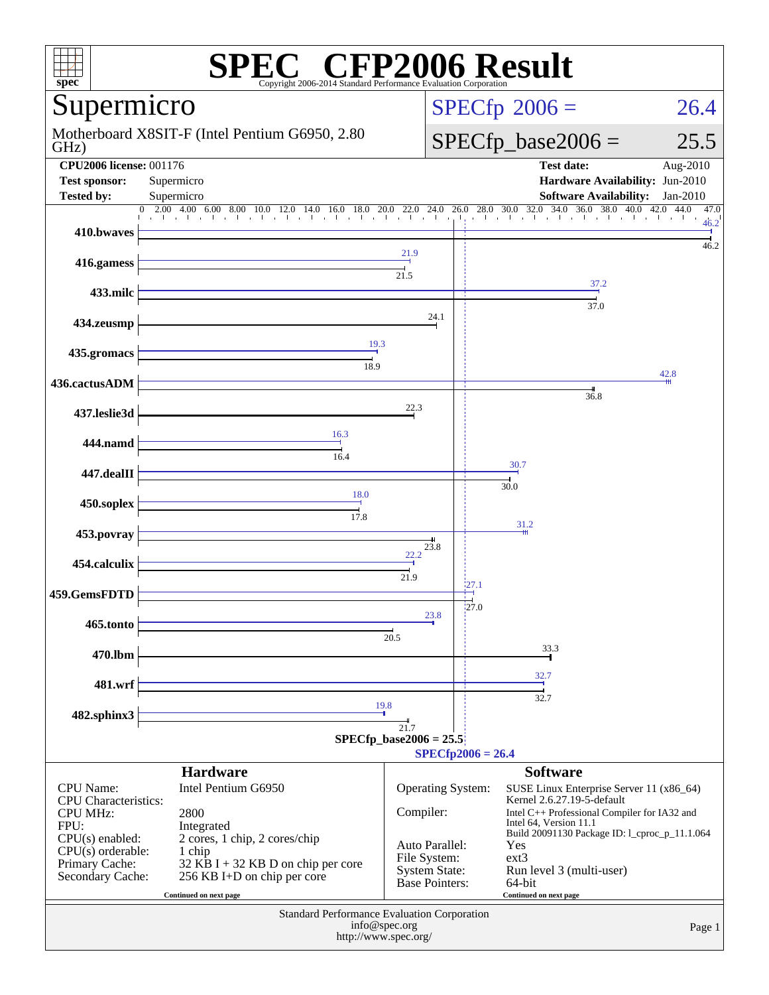| $spec^*$                                                                                                                                                     | <b>SPEC<sup>®</sup></b> CFP2006 Result<br>Copyright 2006-2014 Standard Performance Evaluation Corporation                                                                                                                                                                                                                   |                                                                                                            |                                                                                                                                                                                                                                                                                                         |                      |
|--------------------------------------------------------------------------------------------------------------------------------------------------------------|-----------------------------------------------------------------------------------------------------------------------------------------------------------------------------------------------------------------------------------------------------------------------------------------------------------------------------|------------------------------------------------------------------------------------------------------------|---------------------------------------------------------------------------------------------------------------------------------------------------------------------------------------------------------------------------------------------------------------------------------------------------------|----------------------|
| Supermicro                                                                                                                                                   |                                                                                                                                                                                                                                                                                                                             |                                                                                                            | $SPECfp^{\circ}2006 =$                                                                                                                                                                                                                                                                                  | 26.4                 |
| GHz)                                                                                                                                                         | Motherboard X8SIT-F (Intel Pentium G6950, 2.80                                                                                                                                                                                                                                                                              |                                                                                                            | $SPECfp\_base2006 =$                                                                                                                                                                                                                                                                                    | 25.5                 |
| <b>CPU2006 license: 001176</b><br><b>Test sponsor:</b><br><b>Tested by:</b>                                                                                  | Supermicro<br>Supermicro<br>$\overline{0}$                                                                                                                                                                                                                                                                                  |                                                                                                            | <b>Test date:</b><br>Hardware Availability: Jun-2010<br><b>Software Availability:</b>                                                                                                                                                                                                                   | Aug-2010<br>Jan-2010 |
| 410.bwaves                                                                                                                                                   | $2.00\quad 4.00\quad 6.00\quad 8.00\quad 10.0\quad 12.0\quad 14.0\quad 16.0\quad 18.0\quad 20.0\quad 22.0\quad 24.0\quad 26.0\quad 28.0\quad 30.0\quad 32.0\quad 34.0\quad 36.0\quad 38.0\quad 40.0\quad 42.0\quad 44.0\quad 6.0\quad 36.0\quad 38.0\quad 40.0\quad 42.0\quad 44.0\quad 56.0\quad 57.0\quad 58.0\quad 58.0$ |                                                                                                            |                                                                                                                                                                                                                                                                                                         | 47.0<br>46.2         |
| 416.gamess                                                                                                                                                   |                                                                                                                                                                                                                                                                                                                             | 21.9                                                                                                       |                                                                                                                                                                                                                                                                                                         | 46.2                 |
| 433.milc                                                                                                                                                     |                                                                                                                                                                                                                                                                                                                             | 21.5                                                                                                       | 37.2<br>37.0                                                                                                                                                                                                                                                                                            |                      |
| 434.zeusmp                                                                                                                                                   |                                                                                                                                                                                                                                                                                                                             | 24.1                                                                                                       |                                                                                                                                                                                                                                                                                                         |                      |
| 435.gromacs                                                                                                                                                  | 19.3<br>18.9                                                                                                                                                                                                                                                                                                                |                                                                                                            |                                                                                                                                                                                                                                                                                                         |                      |
| 436.cactusADM                                                                                                                                                |                                                                                                                                                                                                                                                                                                                             |                                                                                                            | 36.8                                                                                                                                                                                                                                                                                                    | 42.8                 |
| 437.leslie3d                                                                                                                                                 |                                                                                                                                                                                                                                                                                                                             | 22.3                                                                                                       |                                                                                                                                                                                                                                                                                                         |                      |
| 444.namd                                                                                                                                                     | 16.3<br>16.4                                                                                                                                                                                                                                                                                                                |                                                                                                            |                                                                                                                                                                                                                                                                                                         |                      |
| 447.dealII                                                                                                                                                   |                                                                                                                                                                                                                                                                                                                             |                                                                                                            | 30.7<br>30.0                                                                                                                                                                                                                                                                                            |                      |
| 450.soplex                                                                                                                                                   | 18.0<br>17.8                                                                                                                                                                                                                                                                                                                |                                                                                                            |                                                                                                                                                                                                                                                                                                         |                      |
| 453.povray                                                                                                                                                   |                                                                                                                                                                                                                                                                                                                             | 23.8                                                                                                       | 31.2                                                                                                                                                                                                                                                                                                    |                      |
| 454.calculix                                                                                                                                                 |                                                                                                                                                                                                                                                                                                                             | 22.2<br>21.9                                                                                               |                                                                                                                                                                                                                                                                                                         |                      |
| 459.GemsFDTD                                                                                                                                                 |                                                                                                                                                                                                                                                                                                                             | :27.1<br>21.0                                                                                              |                                                                                                                                                                                                                                                                                                         |                      |
| 465.tonto                                                                                                                                                    |                                                                                                                                                                                                                                                                                                                             | 23.8<br>20.5                                                                                               |                                                                                                                                                                                                                                                                                                         |                      |
| 470.lbm                                                                                                                                                      |                                                                                                                                                                                                                                                                                                                             |                                                                                                            | 33.3                                                                                                                                                                                                                                                                                                    |                      |
| 481.wrf                                                                                                                                                      |                                                                                                                                                                                                                                                                                                                             |                                                                                                            | 32.7<br>32.7                                                                                                                                                                                                                                                                                            |                      |
| 482.sphinx3                                                                                                                                                  | 19.8                                                                                                                                                                                                                                                                                                                        | 21.7                                                                                                       |                                                                                                                                                                                                                                                                                                         |                      |
|                                                                                                                                                              |                                                                                                                                                                                                                                                                                                                             | $SPECfp\_base2006 = 25.5$<br>$SPECfp2006 = 26.4$                                                           |                                                                                                                                                                                                                                                                                                         |                      |
| <b>CPU</b> Name:<br><b>CPU</b> Characteristics:<br><b>CPU MHz:</b><br>FPU:<br>$CPU(s)$ enabled:<br>$CPU(s)$ orderable:<br>Primary Cache:<br>Secondary Cache: | <b>Hardware</b><br>Intel Pentium G6950<br>2800<br>Integrated<br>2 cores, 1 chip, 2 cores/chip<br>1 chip<br>$32$ KB I + 32 KB D on chip per core<br>256 KB I+D on chip per core<br>Continued on next page                                                                                                                    | Operating System:<br>Compiler:<br>Auto Parallel:<br>File System:<br><b>System State:</b><br>Base Pointers: | <b>Software</b><br>SUSE Linux Enterprise Server 11 (x86_64)<br>Kernel 2.6.27.19-5-default<br>Intel C++ Professional Compiler for IA32 and<br>Intel 64, Version 11.1<br>Build 20091130 Package ID: 1_cproc_p_11.1.064<br>Yes<br>$ext{3}$<br>Run level 3 (multi-user)<br>64-bit<br>Continued on next page |                      |
|                                                                                                                                                              | <b>Standard Performance Evaluation Corporation</b><br>info@spec.org<br>http://www.spec.org/                                                                                                                                                                                                                                 |                                                                                                            |                                                                                                                                                                                                                                                                                                         | Page 1               |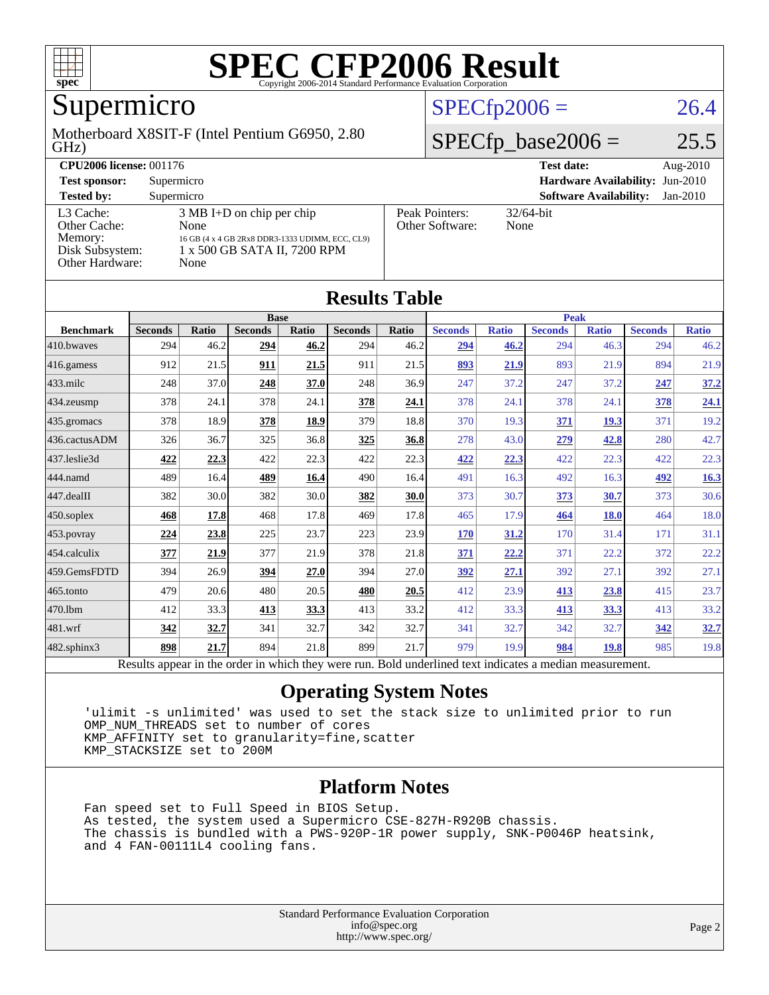

## Supermicro

GHz) Motherboard X8SIT-F (Intel Pentium G6950, 2.80

### $SPECfp2006 = 26.4$  $SPECfp2006 = 26.4$

### $SPECfp\_base2006 = 25.5$

| <b>CPU2006 license: 001176</b>                                             |                                                                                                                                        |  |                                        | <b>Test date:</b>             | Aug- $2010$ |
|----------------------------------------------------------------------------|----------------------------------------------------------------------------------------------------------------------------------------|--|----------------------------------------|-------------------------------|-------------|
| <b>Test sponsor:</b>                                                       | Supermicro                                                                                                                             |  | <b>Hardware Availability: Jun-2010</b> |                               |             |
| <b>Tested by:</b>                                                          | Supermicro                                                                                                                             |  |                                        | <b>Software Availability:</b> | $Jan-2010$  |
| L3 Cache:<br>Other Cache:<br>Memory:<br>Disk Subsystem:<br>Other Hardware: | $3 \text{ MB I+D}$ on chip per chip<br>None<br>16 GB (4 x 4 GB 2Rx8 DDR3-1333 UDIMM, ECC, CL9)<br>1 x 500 GB SATA II, 7200 RPM<br>None |  | Peak Pointers:<br>Other Software:      | $32/64$ -bit<br>None          |             |

| <b>Results Table</b> |                                                                                                          |              |                |       |                |             |                |              |                |              |                |              |
|----------------------|----------------------------------------------------------------------------------------------------------|--------------|----------------|-------|----------------|-------------|----------------|--------------|----------------|--------------|----------------|--------------|
|                      | <b>Base</b>                                                                                              |              |                |       |                | <b>Peak</b> |                |              |                |              |                |              |
| <b>Benchmark</b>     | <b>Seconds</b>                                                                                           | <b>Ratio</b> | <b>Seconds</b> | Ratio | <b>Seconds</b> | Ratio       | <b>Seconds</b> | <b>Ratio</b> | <b>Seconds</b> | <b>Ratio</b> | <b>Seconds</b> | <b>Ratio</b> |
| 410.bwayes           | 294                                                                                                      | 46.2         | 294            | 46.2  | 294            | 46.2        | 294            | 46.2         | 294            | 46.3         | 294            | 46.2         |
| 416.gamess           | 912                                                                                                      | 21.5         | 911            | 21.5  | 911            | 21.5        | 893            | 21.9         | 893            | 21.9         | 894            | 21.9         |
| $433$ .milc          | 248                                                                                                      | 37.0         | 248            | 37.0  | 248            | 36.9        | 247            | 37.2         | 247            | 37.2         | 247            | 37.2         |
| $434$ . zeusmp       | 378                                                                                                      | 24.1         | 378            | 24.1  | 378            | 24.1        | 378            | 24.1         | 378            | 24.1         | 378            | <u>24.1</u>  |
| 435.gromacs          | 378                                                                                                      | 18.9         | 378            | 18.9  | 379            | 18.8        | 370            | 19.3         | 371            | 19.3         | 371            | 19.2         |
| 436.cactusADM        | 326                                                                                                      | 36.7         | 325            | 36.8  | 325            | 36.8        | 278            | 43.0         | 279            | 42.8         | 280            | 42.7         |
| 437.leslie3d         | 422                                                                                                      | 22.3         | 422            | 22.3  | 422            | 22.3        | 422            | 22.3         | 422            | 22.3         | 422            | 22.3         |
| 444.namd             | 489                                                                                                      | 16.4         | 489            | 16.4  | 490            | 16.4        | 491            | 16.3         | 492            | 16.3         | 492            | 16.3         |
| $447$ .dealII        | 382                                                                                                      | 30.0         | 382            | 30.0  | 382            | 30.0        | 373            | 30.7         | 373            | 30.7         | 373            | 30.6         |
| $450$ .soplex        | 468                                                                                                      | 17.8         | 468            | 17.8  | 469            | 17.8        | 465            | 17.9         | 464            | <b>18.0</b>  | 464            | 18.0         |
| $453$ .povray        | 224                                                                                                      | 23.8         | 225            | 23.7  | 223            | 23.9        | <b>170</b>     | 31.2         | 170            | 31.4         | 171            | 31.1         |
| 454.calculix         | 377                                                                                                      | 21.9         | 377            | 21.9  | 378            | 21.8        | 371            | 22.2         | 371            | 22.2         | 372            | 22.2         |
| 459.GemsFDTD         | 394                                                                                                      | 26.9         | 394            | 27.0  | 394            | 27.0        | 392            | 27.1         | 392            | 27.1         | 392            | 27.1         |
| $465$ .tonto         | 479                                                                                                      | 20.6         | 480            | 20.5  | 480            | 20.5        | 412            | 23.9         | 413            | 23.8         | 415            | 23.7         |
| 470.1bm              | 412                                                                                                      | 33.3         | 413            | 33.3  | 413            | 33.2        | 412            | 33.3         | 413            | 33.3         | 413            | 33.2         |
| 481.wrf              | 342                                                                                                      | 32.7         | 341            | 32.7  | 342            | 32.7        | 341            | 32.7         | 342            | 32.7         | 342            | 32.7         |
| $482$ .sphinx $3$    | 898                                                                                                      | 21.7         | 894            | 21.8  | 899            | 21.7        | 979            | 19.9         | 984            | <b>19.8</b>  | 985            | 19.8         |
|                      | Results appear in the order in which they were run. Bold underlined text indicates a median measurement. |              |                |       |                |             |                |              |                |              |                |              |

#### **[Operating System Notes](http://www.spec.org/auto/cpu2006/Docs/result-fields.html#OperatingSystemNotes)**

 'ulimit -s unlimited' was used to set the stack size to unlimited prior to run OMP\_NUM\_THREADS set to number of cores KMP\_AFFINITY set to granularity=fine,scatter KMP\_STACKSIZE set to 200M

#### **[Platform Notes](http://www.spec.org/auto/cpu2006/Docs/result-fields.html#PlatformNotes)**

 Fan speed set to Full Speed in BIOS Setup. As tested, the system used a Supermicro CSE-827H-R920B chassis. The chassis is bundled with a PWS-920P-1R power supply, SNK-P0046P heatsink, and 4 FAN-00111L4 cooling fans.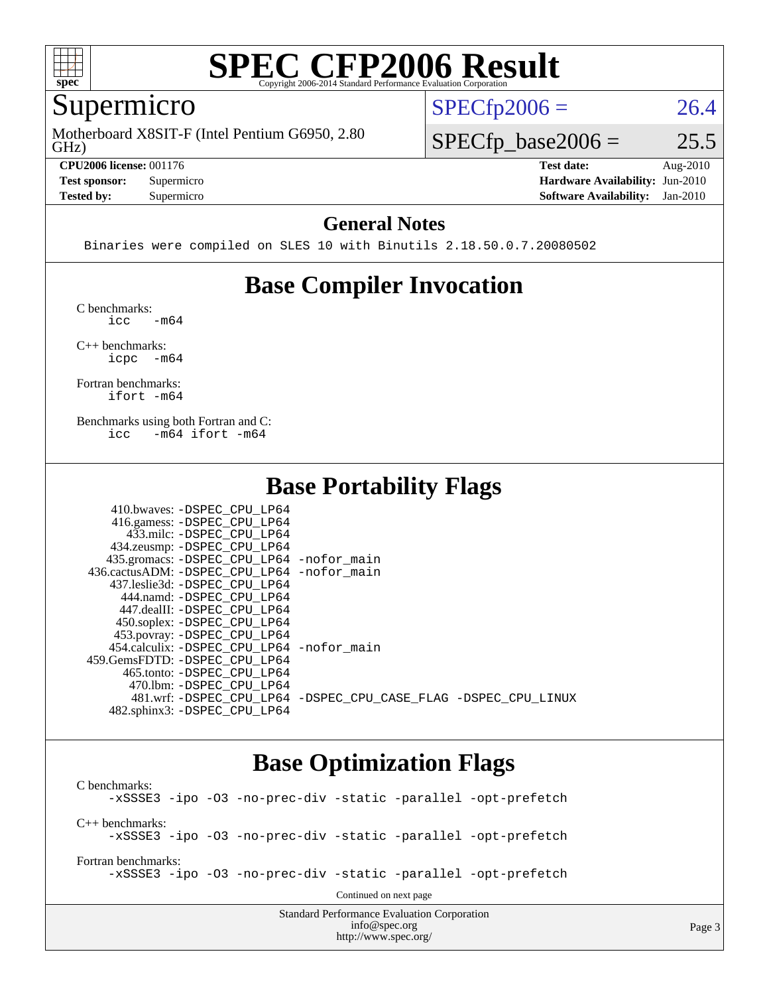

### Supermicro

GHz) Motherboard X8SIT-F (Intel Pentium G6950, 2.80

**[CPU2006 license:](http://www.spec.org/auto/cpu2006/Docs/result-fields.html#CPU2006license)** 001176 **[Test date:](http://www.spec.org/auto/cpu2006/Docs/result-fields.html#Testdate)** Aug-2010

 $SPECTp2006 = 26.4$ 

 $SPECTp\_base2006 = 25.5$ 

**[Test sponsor:](http://www.spec.org/auto/cpu2006/Docs/result-fields.html#Testsponsor)** Supermicro **[Hardware Availability:](http://www.spec.org/auto/cpu2006/Docs/result-fields.html#HardwareAvailability)** Jun-2010 **[Tested by:](http://www.spec.org/auto/cpu2006/Docs/result-fields.html#Testedby)** Supermicro **[Software Availability:](http://www.spec.org/auto/cpu2006/Docs/result-fields.html#SoftwareAvailability)** Jan-2010

#### **[General Notes](http://www.spec.org/auto/cpu2006/Docs/result-fields.html#GeneralNotes)**

Binaries were compiled on SLES 10 with Binutils 2.18.50.0.7.20080502

### **[Base Compiler Invocation](http://www.spec.org/auto/cpu2006/Docs/result-fields.html#BaseCompilerInvocation)**

[C benchmarks](http://www.spec.org/auto/cpu2006/Docs/result-fields.html#Cbenchmarks):  $\text{icc}$   $-\text{m64}$ 

[C++ benchmarks:](http://www.spec.org/auto/cpu2006/Docs/result-fields.html#CXXbenchmarks) [icpc -m64](http://www.spec.org/cpu2006/results/res2010q3/cpu2006-20100913-13234.flags.html#user_CXXbase_intel_icpc_64bit_bedb90c1146cab66620883ef4f41a67e)

[Fortran benchmarks](http://www.spec.org/auto/cpu2006/Docs/result-fields.html#Fortranbenchmarks): [ifort -m64](http://www.spec.org/cpu2006/results/res2010q3/cpu2006-20100913-13234.flags.html#user_FCbase_intel_ifort_64bit_ee9d0fb25645d0210d97eb0527dcc06e)

[Benchmarks using both Fortran and C](http://www.spec.org/auto/cpu2006/Docs/result-fields.html#BenchmarksusingbothFortranandC): [icc -m64](http://www.spec.org/cpu2006/results/res2010q3/cpu2006-20100913-13234.flags.html#user_CC_FCbase_intel_icc_64bit_0b7121f5ab7cfabee23d88897260401c) [ifort -m64](http://www.spec.org/cpu2006/results/res2010q3/cpu2006-20100913-13234.flags.html#user_CC_FCbase_intel_ifort_64bit_ee9d0fb25645d0210d97eb0527dcc06e)

### **[Base Portability Flags](http://www.spec.org/auto/cpu2006/Docs/result-fields.html#BasePortabilityFlags)**

| 410.bwaves: -DSPEC CPU LP64                |                                                                |
|--------------------------------------------|----------------------------------------------------------------|
| 416.gamess: -DSPEC_CPU_LP64                |                                                                |
| 433.milc: -DSPEC CPU LP64                  |                                                                |
| 434.zeusmp: -DSPEC_CPU_LP64                |                                                                |
| 435.gromacs: -DSPEC_CPU_LP64 -nofor_main   |                                                                |
| 436.cactusADM: -DSPEC_CPU_LP64 -nofor main |                                                                |
| 437.leslie3d: -DSPEC CPU LP64              |                                                                |
| 444.namd: -DSPEC CPU LP64                  |                                                                |
| 447.dealII: -DSPEC CPU LP64                |                                                                |
| 450.soplex: -DSPEC_CPU_LP64                |                                                                |
| 453.povray: -DSPEC_CPU_LP64                |                                                                |
| 454.calculix: -DSPEC CPU LP64 -nofor main  |                                                                |
| 459. GemsFDTD: - DSPEC CPU LP64            |                                                                |
| 465.tonto: - DSPEC CPU LP64                |                                                                |
| 470.1bm: - DSPEC CPU LP64                  |                                                                |
|                                            | 481.wrf: -DSPEC CPU_LP64 -DSPEC_CPU_CASE_FLAG -DSPEC_CPU_LINUX |
| 482.sphinx3: -DSPEC CPU LP64               |                                                                |

### **[Base Optimization Flags](http://www.spec.org/auto/cpu2006/Docs/result-fields.html#BaseOptimizationFlags)**

<http://www.spec.org/>

Standard Performance Evaluation Corporation [info@spec.org](mailto:info@spec.org) [C benchmarks](http://www.spec.org/auto/cpu2006/Docs/result-fields.html#Cbenchmarks): [-xSSSE3](http://www.spec.org/cpu2006/results/res2010q3/cpu2006-20100913-13234.flags.html#user_CCbase_f-xSSSE3) [-ipo](http://www.spec.org/cpu2006/results/res2010q3/cpu2006-20100913-13234.flags.html#user_CCbase_f-ipo) [-O3](http://www.spec.org/cpu2006/results/res2010q3/cpu2006-20100913-13234.flags.html#user_CCbase_f-O3) [-no-prec-div](http://www.spec.org/cpu2006/results/res2010q3/cpu2006-20100913-13234.flags.html#user_CCbase_f-no-prec-div) [-static](http://www.spec.org/cpu2006/results/res2010q3/cpu2006-20100913-13234.flags.html#user_CCbase_f-static) [-parallel](http://www.spec.org/cpu2006/results/res2010q3/cpu2006-20100913-13234.flags.html#user_CCbase_f-parallel) [-opt-prefetch](http://www.spec.org/cpu2006/results/res2010q3/cpu2006-20100913-13234.flags.html#user_CCbase_f-opt-prefetch) [C++ benchmarks:](http://www.spec.org/auto/cpu2006/Docs/result-fields.html#CXXbenchmarks) [-xSSSE3](http://www.spec.org/cpu2006/results/res2010q3/cpu2006-20100913-13234.flags.html#user_CXXbase_f-xSSSE3) [-ipo](http://www.spec.org/cpu2006/results/res2010q3/cpu2006-20100913-13234.flags.html#user_CXXbase_f-ipo) [-O3](http://www.spec.org/cpu2006/results/res2010q3/cpu2006-20100913-13234.flags.html#user_CXXbase_f-O3) [-no-prec-div](http://www.spec.org/cpu2006/results/res2010q3/cpu2006-20100913-13234.flags.html#user_CXXbase_f-no-prec-div) [-static](http://www.spec.org/cpu2006/results/res2010q3/cpu2006-20100913-13234.flags.html#user_CXXbase_f-static) [-parallel](http://www.spec.org/cpu2006/results/res2010q3/cpu2006-20100913-13234.flags.html#user_CXXbase_f-parallel) [-opt-prefetch](http://www.spec.org/cpu2006/results/res2010q3/cpu2006-20100913-13234.flags.html#user_CXXbase_f-opt-prefetch) [Fortran benchmarks](http://www.spec.org/auto/cpu2006/Docs/result-fields.html#Fortranbenchmarks): [-xSSSE3](http://www.spec.org/cpu2006/results/res2010q3/cpu2006-20100913-13234.flags.html#user_FCbase_f-xSSSE3) [-ipo](http://www.spec.org/cpu2006/results/res2010q3/cpu2006-20100913-13234.flags.html#user_FCbase_f-ipo) [-O3](http://www.spec.org/cpu2006/results/res2010q3/cpu2006-20100913-13234.flags.html#user_FCbase_f-O3) [-no-prec-div](http://www.spec.org/cpu2006/results/res2010q3/cpu2006-20100913-13234.flags.html#user_FCbase_f-no-prec-div) [-static](http://www.spec.org/cpu2006/results/res2010q3/cpu2006-20100913-13234.flags.html#user_FCbase_f-static) [-parallel](http://www.spec.org/cpu2006/results/res2010q3/cpu2006-20100913-13234.flags.html#user_FCbase_f-parallel) [-opt-prefetch](http://www.spec.org/cpu2006/results/res2010q3/cpu2006-20100913-13234.flags.html#user_FCbase_f-opt-prefetch) Continued on next page

Page 3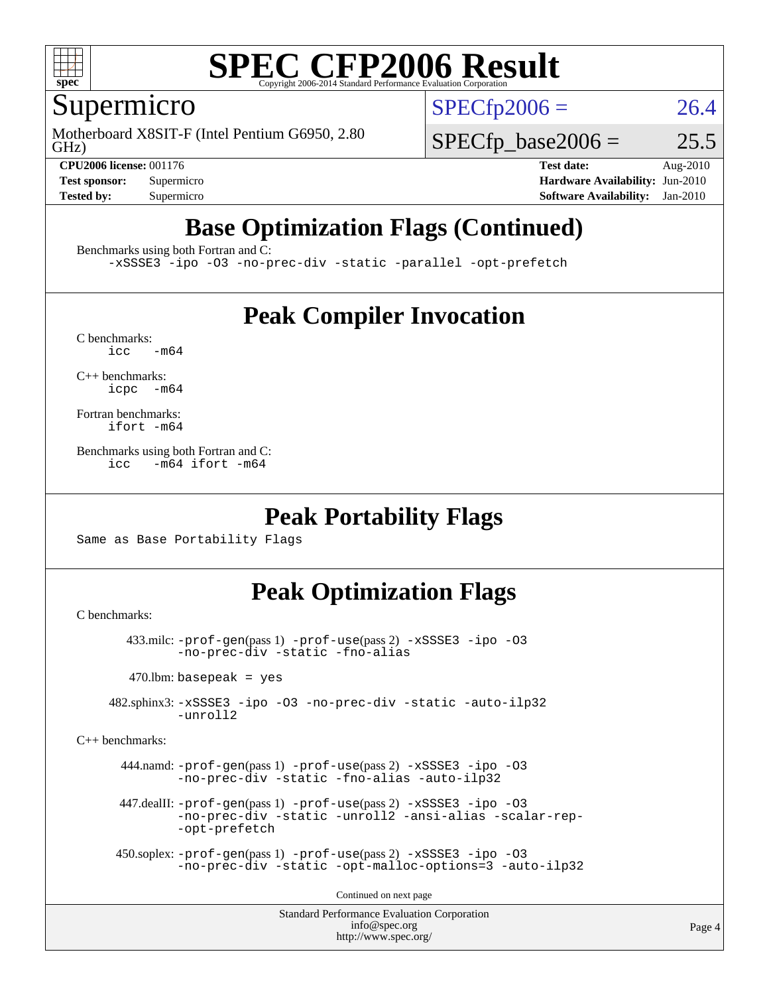

### Supermicro

GHz) Motherboard X8SIT-F (Intel Pentium G6950, 2.80  $SPECTp2006 = 26.4$ 

 $SPECTp\_base2006 = 25.5$ 

**[CPU2006 license:](http://www.spec.org/auto/cpu2006/Docs/result-fields.html#CPU2006license)** 001176 **[Test date:](http://www.spec.org/auto/cpu2006/Docs/result-fields.html#Testdate)** Aug-2010 **[Test sponsor:](http://www.spec.org/auto/cpu2006/Docs/result-fields.html#Testsponsor)** Supermicro Supermicro **[Hardware Availability:](http://www.spec.org/auto/cpu2006/Docs/result-fields.html#HardwareAvailability)** Jun-2010 **[Tested by:](http://www.spec.org/auto/cpu2006/Docs/result-fields.html#Testedby)** Supermicro **[Software Availability:](http://www.spec.org/auto/cpu2006/Docs/result-fields.html#SoftwareAvailability)** Jan-2010

### **[Base Optimization Flags \(Continued\)](http://www.spec.org/auto/cpu2006/Docs/result-fields.html#BaseOptimizationFlags)**

[Benchmarks using both Fortran and C](http://www.spec.org/auto/cpu2006/Docs/result-fields.html#BenchmarksusingbothFortranandC):

[-xSSSE3](http://www.spec.org/cpu2006/results/res2010q3/cpu2006-20100913-13234.flags.html#user_CC_FCbase_f-xSSSE3) [-ipo](http://www.spec.org/cpu2006/results/res2010q3/cpu2006-20100913-13234.flags.html#user_CC_FCbase_f-ipo) [-O3](http://www.spec.org/cpu2006/results/res2010q3/cpu2006-20100913-13234.flags.html#user_CC_FCbase_f-O3) [-no-prec-div](http://www.spec.org/cpu2006/results/res2010q3/cpu2006-20100913-13234.flags.html#user_CC_FCbase_f-no-prec-div) [-static](http://www.spec.org/cpu2006/results/res2010q3/cpu2006-20100913-13234.flags.html#user_CC_FCbase_f-static) [-parallel](http://www.spec.org/cpu2006/results/res2010q3/cpu2006-20100913-13234.flags.html#user_CC_FCbase_f-parallel) [-opt-prefetch](http://www.spec.org/cpu2006/results/res2010q3/cpu2006-20100913-13234.flags.html#user_CC_FCbase_f-opt-prefetch)

### **[Peak Compiler Invocation](http://www.spec.org/auto/cpu2006/Docs/result-fields.html#PeakCompilerInvocation)**

 $C$  benchmarks:<br>icc  $-m64$ 

[C++ benchmarks:](http://www.spec.org/auto/cpu2006/Docs/result-fields.html#CXXbenchmarks) [icpc -m64](http://www.spec.org/cpu2006/results/res2010q3/cpu2006-20100913-13234.flags.html#user_CXXpeak_intel_icpc_64bit_bedb90c1146cab66620883ef4f41a67e)

[Fortran benchmarks](http://www.spec.org/auto/cpu2006/Docs/result-fields.html#Fortranbenchmarks): [ifort -m64](http://www.spec.org/cpu2006/results/res2010q3/cpu2006-20100913-13234.flags.html#user_FCpeak_intel_ifort_64bit_ee9d0fb25645d0210d97eb0527dcc06e)

[Benchmarks using both Fortran and C](http://www.spec.org/auto/cpu2006/Docs/result-fields.html#BenchmarksusingbothFortranandC): [icc -m64](http://www.spec.org/cpu2006/results/res2010q3/cpu2006-20100913-13234.flags.html#user_CC_FCpeak_intel_icc_64bit_0b7121f5ab7cfabee23d88897260401c) [ifort -m64](http://www.spec.org/cpu2006/results/res2010q3/cpu2006-20100913-13234.flags.html#user_CC_FCpeak_intel_ifort_64bit_ee9d0fb25645d0210d97eb0527dcc06e)

### **[Peak Portability Flags](http://www.spec.org/auto/cpu2006/Docs/result-fields.html#PeakPortabilityFlags)**

Same as Base Portability Flags

### **[Peak Optimization Flags](http://www.spec.org/auto/cpu2006/Docs/result-fields.html#PeakOptimizationFlags)**

[C benchmarks](http://www.spec.org/auto/cpu2006/Docs/result-fields.html#Cbenchmarks):

 433.milc: [-prof-gen](http://www.spec.org/cpu2006/results/res2010q3/cpu2006-20100913-13234.flags.html#user_peakPASS1_CFLAGSPASS1_LDFLAGS433_milc_prof_gen_e43856698f6ca7b7e442dfd80e94a8fc)(pass 1) [-prof-use](http://www.spec.org/cpu2006/results/res2010q3/cpu2006-20100913-13234.flags.html#user_peakPASS2_CFLAGSPASS2_LDFLAGS433_milc_prof_use_bccf7792157ff70d64e32fe3e1250b55)(pass 2) [-xSSSE3](http://www.spec.org/cpu2006/results/res2010q3/cpu2006-20100913-13234.flags.html#user_peakOPTIMIZE433_milc_f-xSSSE3) [-ipo](http://www.spec.org/cpu2006/results/res2010q3/cpu2006-20100913-13234.flags.html#user_peakOPTIMIZE433_milc_f-ipo) [-O3](http://www.spec.org/cpu2006/results/res2010q3/cpu2006-20100913-13234.flags.html#user_peakOPTIMIZE433_milc_f-O3) [-no-prec-div](http://www.spec.org/cpu2006/results/res2010q3/cpu2006-20100913-13234.flags.html#user_peakOPTIMIZE433_milc_f-no-prec-div) [-static](http://www.spec.org/cpu2006/results/res2010q3/cpu2006-20100913-13234.flags.html#user_peakOPTIMIZE433_milc_f-static) [-fno-alias](http://www.spec.org/cpu2006/results/res2010q3/cpu2006-20100913-13234.flags.html#user_peakOPTIMIZE433_milc_f-no-alias_694e77f6c5a51e658e82ccff53a9e63a)

 $470.$ lbm: basepeak = yes

 482.sphinx3: [-xSSSE3](http://www.spec.org/cpu2006/results/res2010q3/cpu2006-20100913-13234.flags.html#user_peakOPTIMIZE482_sphinx3_f-xSSSE3) [-ipo](http://www.spec.org/cpu2006/results/res2010q3/cpu2006-20100913-13234.flags.html#user_peakOPTIMIZE482_sphinx3_f-ipo) [-O3](http://www.spec.org/cpu2006/results/res2010q3/cpu2006-20100913-13234.flags.html#user_peakOPTIMIZE482_sphinx3_f-O3) [-no-prec-div](http://www.spec.org/cpu2006/results/res2010q3/cpu2006-20100913-13234.flags.html#user_peakOPTIMIZE482_sphinx3_f-no-prec-div) [-static](http://www.spec.org/cpu2006/results/res2010q3/cpu2006-20100913-13234.flags.html#user_peakOPTIMIZE482_sphinx3_f-static) [-auto-ilp32](http://www.spec.org/cpu2006/results/res2010q3/cpu2006-20100913-13234.flags.html#user_peakCOPTIMIZE482_sphinx3_f-auto-ilp32) [-unroll2](http://www.spec.org/cpu2006/results/res2010q3/cpu2006-20100913-13234.flags.html#user_peakCOPTIMIZE482_sphinx3_f-unroll_784dae83bebfb236979b41d2422d7ec2)

[C++ benchmarks:](http://www.spec.org/auto/cpu2006/Docs/result-fields.html#CXXbenchmarks)

 444.namd: [-prof-gen](http://www.spec.org/cpu2006/results/res2010q3/cpu2006-20100913-13234.flags.html#user_peakPASS1_CXXFLAGSPASS1_LDFLAGS444_namd_prof_gen_e43856698f6ca7b7e442dfd80e94a8fc)(pass 1) [-prof-use](http://www.spec.org/cpu2006/results/res2010q3/cpu2006-20100913-13234.flags.html#user_peakPASS2_CXXFLAGSPASS2_LDFLAGS444_namd_prof_use_bccf7792157ff70d64e32fe3e1250b55)(pass 2) [-xSSSE3](http://www.spec.org/cpu2006/results/res2010q3/cpu2006-20100913-13234.flags.html#user_peakCXXOPTIMIZEOPTIMIZE444_namd_f-xSSSE3) [-ipo](http://www.spec.org/cpu2006/results/res2010q3/cpu2006-20100913-13234.flags.html#user_peakCXXOPTIMIZEOPTIMIZE444_namd_f-ipo) [-O3](http://www.spec.org/cpu2006/results/res2010q3/cpu2006-20100913-13234.flags.html#user_peakCXXOPTIMIZEOPTIMIZE444_namd_f-O3) [-no-prec-div](http://www.spec.org/cpu2006/results/res2010q3/cpu2006-20100913-13234.flags.html#user_peakCXXOPTIMIZEOPTIMIZE444_namd_f-no-prec-div) [-static](http://www.spec.org/cpu2006/results/res2010q3/cpu2006-20100913-13234.flags.html#user_peakCXXOPTIMIZEOPTIMIZE444_namd_f-static) [-fno-alias](http://www.spec.org/cpu2006/results/res2010q3/cpu2006-20100913-13234.flags.html#user_peakCXXOPTIMIZE444_namd_f-no-alias_694e77f6c5a51e658e82ccff53a9e63a) [-auto-ilp32](http://www.spec.org/cpu2006/results/res2010q3/cpu2006-20100913-13234.flags.html#user_peakCXXOPTIMIZE444_namd_f-auto-ilp32)

 447.dealII: [-prof-gen](http://www.spec.org/cpu2006/results/res2010q3/cpu2006-20100913-13234.flags.html#user_peakPASS1_CXXFLAGSPASS1_LDFLAGS447_dealII_prof_gen_e43856698f6ca7b7e442dfd80e94a8fc)(pass 1) [-prof-use](http://www.spec.org/cpu2006/results/res2010q3/cpu2006-20100913-13234.flags.html#user_peakPASS2_CXXFLAGSPASS2_LDFLAGS447_dealII_prof_use_bccf7792157ff70d64e32fe3e1250b55)(pass 2) [-xSSSE3](http://www.spec.org/cpu2006/results/res2010q3/cpu2006-20100913-13234.flags.html#user_peakCXXOPTIMIZEOPTIMIZE447_dealII_f-xSSSE3) [-ipo](http://www.spec.org/cpu2006/results/res2010q3/cpu2006-20100913-13234.flags.html#user_peakCXXOPTIMIZEOPTIMIZE447_dealII_f-ipo) [-O3](http://www.spec.org/cpu2006/results/res2010q3/cpu2006-20100913-13234.flags.html#user_peakCXXOPTIMIZEOPTIMIZE447_dealII_f-O3) [-no-prec-div](http://www.spec.org/cpu2006/results/res2010q3/cpu2006-20100913-13234.flags.html#user_peakCXXOPTIMIZEOPTIMIZE447_dealII_f-no-prec-div) [-static](http://www.spec.org/cpu2006/results/res2010q3/cpu2006-20100913-13234.flags.html#user_peakCXXOPTIMIZEOPTIMIZE447_dealII_f-static) [-unroll2](http://www.spec.org/cpu2006/results/res2010q3/cpu2006-20100913-13234.flags.html#user_peakCXXOPTIMIZE447_dealII_f-unroll_784dae83bebfb236979b41d2422d7ec2) [-ansi-alias](http://www.spec.org/cpu2006/results/res2010q3/cpu2006-20100913-13234.flags.html#user_peakCXXOPTIMIZE447_dealII_f-ansi-alias) [-scalar-rep-](http://www.spec.org/cpu2006/results/res2010q3/cpu2006-20100913-13234.flags.html#user_peakCXXOPTIMIZE447_dealII_f-disablescalarrep_abbcad04450fb118e4809c81d83c8a1d) [-opt-prefetch](http://www.spec.org/cpu2006/results/res2010q3/cpu2006-20100913-13234.flags.html#user_peakCXXOPTIMIZE447_dealII_f-opt-prefetch)

```
 450.soplex: -prof-gen(pass 1) -prof-use(pass 2) -xSSSE3 -ipo -O3
-no-prec-div -static -opt-malloc-options=3 -auto-ilp32
```
Continued on next page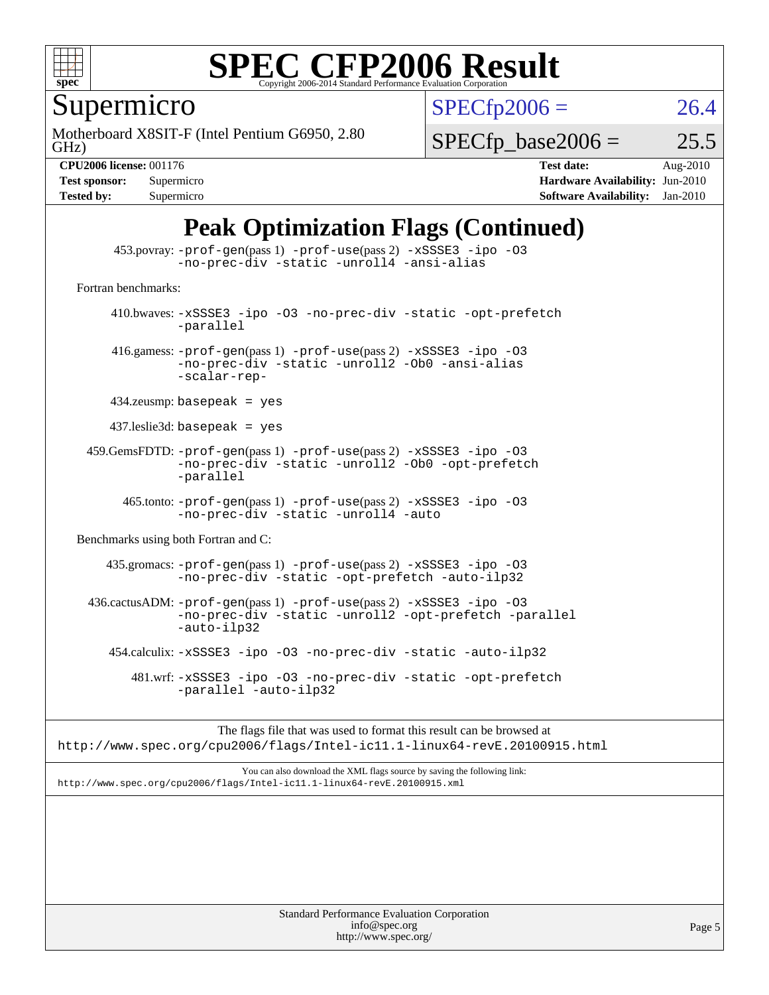

Supermicro

GHz) Motherboard X8SIT-F (Intel Pentium G6950, 2.80  $SPECTp2006 = 26.4$ 

 $SPECTp\_base2006 = 25.5$ 

**[CPU2006 license:](http://www.spec.org/auto/cpu2006/Docs/result-fields.html#CPU2006license)** 001176 **[Test date:](http://www.spec.org/auto/cpu2006/Docs/result-fields.html#Testdate)** Aug-2010 **[Test sponsor:](http://www.spec.org/auto/cpu2006/Docs/result-fields.html#Testsponsor)** Supermicro Supermicro **[Hardware Availability:](http://www.spec.org/auto/cpu2006/Docs/result-fields.html#HardwareAvailability)** Jun-2010 **[Tested by:](http://www.spec.org/auto/cpu2006/Docs/result-fields.html#Testedby)** Supermicro **[Software Availability:](http://www.spec.org/auto/cpu2006/Docs/result-fields.html#SoftwareAvailability)** Jan-2010

### **[Peak Optimization Flags \(Continued\)](http://www.spec.org/auto/cpu2006/Docs/result-fields.html#PeakOptimizationFlags)**

 453.povray: [-prof-gen](http://www.spec.org/cpu2006/results/res2010q3/cpu2006-20100913-13234.flags.html#user_peakPASS1_CXXFLAGSPASS1_LDFLAGS453_povray_prof_gen_e43856698f6ca7b7e442dfd80e94a8fc)(pass 1) [-prof-use](http://www.spec.org/cpu2006/results/res2010q3/cpu2006-20100913-13234.flags.html#user_peakPASS2_CXXFLAGSPASS2_LDFLAGS453_povray_prof_use_bccf7792157ff70d64e32fe3e1250b55)(pass 2) [-xSSSE3](http://www.spec.org/cpu2006/results/res2010q3/cpu2006-20100913-13234.flags.html#user_peakCXXOPTIMIZEOPTIMIZE453_povray_f-xSSSE3) [-ipo](http://www.spec.org/cpu2006/results/res2010q3/cpu2006-20100913-13234.flags.html#user_peakCXXOPTIMIZEOPTIMIZE453_povray_f-ipo) [-O3](http://www.spec.org/cpu2006/results/res2010q3/cpu2006-20100913-13234.flags.html#user_peakCXXOPTIMIZEOPTIMIZE453_povray_f-O3) [-no-prec-div](http://www.spec.org/cpu2006/results/res2010q3/cpu2006-20100913-13234.flags.html#user_peakCXXOPTIMIZEOPTIMIZE453_povray_f-no-prec-div) [-static](http://www.spec.org/cpu2006/results/res2010q3/cpu2006-20100913-13234.flags.html#user_peakCXXOPTIMIZEOPTIMIZE453_povray_f-static) [-unroll4](http://www.spec.org/cpu2006/results/res2010q3/cpu2006-20100913-13234.flags.html#user_peakCXXOPTIMIZE453_povray_f-unroll_4e5e4ed65b7fd20bdcd365bec371b81f) [-ansi-alias](http://www.spec.org/cpu2006/results/res2010q3/cpu2006-20100913-13234.flags.html#user_peakCXXOPTIMIZE453_povray_f-ansi-alias) [Fortran benchmarks](http://www.spec.org/auto/cpu2006/Docs/result-fields.html#Fortranbenchmarks): 410.bwaves: [-xSSSE3](http://www.spec.org/cpu2006/results/res2010q3/cpu2006-20100913-13234.flags.html#user_peakOPTIMIZE410_bwaves_f-xSSSE3) [-ipo](http://www.spec.org/cpu2006/results/res2010q3/cpu2006-20100913-13234.flags.html#user_peakOPTIMIZE410_bwaves_f-ipo) [-O3](http://www.spec.org/cpu2006/results/res2010q3/cpu2006-20100913-13234.flags.html#user_peakOPTIMIZE410_bwaves_f-O3) [-no-prec-div](http://www.spec.org/cpu2006/results/res2010q3/cpu2006-20100913-13234.flags.html#user_peakOPTIMIZE410_bwaves_f-no-prec-div) [-static](http://www.spec.org/cpu2006/results/res2010q3/cpu2006-20100913-13234.flags.html#user_peakOPTIMIZE410_bwaves_f-static) [-opt-prefetch](http://www.spec.org/cpu2006/results/res2010q3/cpu2006-20100913-13234.flags.html#user_peakOPTIMIZE410_bwaves_f-opt-prefetch) [-parallel](http://www.spec.org/cpu2006/results/res2010q3/cpu2006-20100913-13234.flags.html#user_peakOPTIMIZE410_bwaves_f-parallel) 416.gamess: [-prof-gen](http://www.spec.org/cpu2006/results/res2010q3/cpu2006-20100913-13234.flags.html#user_peakPASS1_FFLAGSPASS1_LDFLAGS416_gamess_prof_gen_e43856698f6ca7b7e442dfd80e94a8fc)(pass 1) [-prof-use](http://www.spec.org/cpu2006/results/res2010q3/cpu2006-20100913-13234.flags.html#user_peakPASS2_FFLAGSPASS2_LDFLAGS416_gamess_prof_use_bccf7792157ff70d64e32fe3e1250b55)(pass 2) [-xSSSE3](http://www.spec.org/cpu2006/results/res2010q3/cpu2006-20100913-13234.flags.html#user_peakOPTIMIZE416_gamess_f-xSSSE3) [-ipo](http://www.spec.org/cpu2006/results/res2010q3/cpu2006-20100913-13234.flags.html#user_peakOPTIMIZE416_gamess_f-ipo) [-O3](http://www.spec.org/cpu2006/results/res2010q3/cpu2006-20100913-13234.flags.html#user_peakOPTIMIZE416_gamess_f-O3) [-no-prec-div](http://www.spec.org/cpu2006/results/res2010q3/cpu2006-20100913-13234.flags.html#user_peakOPTIMIZE416_gamess_f-no-prec-div) [-static](http://www.spec.org/cpu2006/results/res2010q3/cpu2006-20100913-13234.flags.html#user_peakOPTIMIZE416_gamess_f-static) [-unroll2](http://www.spec.org/cpu2006/results/res2010q3/cpu2006-20100913-13234.flags.html#user_peakOPTIMIZE416_gamess_f-unroll_784dae83bebfb236979b41d2422d7ec2) [-Ob0](http://www.spec.org/cpu2006/results/res2010q3/cpu2006-20100913-13234.flags.html#user_peakOPTIMIZE416_gamess_f-Ob_n_fbe6f6428adb7d4b74b1e99bb2444c2d) [-ansi-alias](http://www.spec.org/cpu2006/results/res2010q3/cpu2006-20100913-13234.flags.html#user_peakOPTIMIZE416_gamess_f-ansi-alias) [-scalar-rep-](http://www.spec.org/cpu2006/results/res2010q3/cpu2006-20100913-13234.flags.html#user_peakOPTIMIZE416_gamess_f-disablescalarrep_abbcad04450fb118e4809c81d83c8a1d) 434.zeusmp: basepeak = yes 437.leslie3d: basepeak = yes 459.GemsFDTD: [-prof-gen](http://www.spec.org/cpu2006/results/res2010q3/cpu2006-20100913-13234.flags.html#user_peakPASS1_FFLAGSPASS1_LDFLAGS459_GemsFDTD_prof_gen_e43856698f6ca7b7e442dfd80e94a8fc)(pass 1) [-prof-use](http://www.spec.org/cpu2006/results/res2010q3/cpu2006-20100913-13234.flags.html#user_peakPASS2_FFLAGSPASS2_LDFLAGS459_GemsFDTD_prof_use_bccf7792157ff70d64e32fe3e1250b55)(pass 2) [-xSSSE3](http://www.spec.org/cpu2006/results/res2010q3/cpu2006-20100913-13234.flags.html#user_peakOPTIMIZE459_GemsFDTD_f-xSSSE3) [-ipo](http://www.spec.org/cpu2006/results/res2010q3/cpu2006-20100913-13234.flags.html#user_peakOPTIMIZE459_GemsFDTD_f-ipo) [-O3](http://www.spec.org/cpu2006/results/res2010q3/cpu2006-20100913-13234.flags.html#user_peakOPTIMIZE459_GemsFDTD_f-O3) [-no-prec-div](http://www.spec.org/cpu2006/results/res2010q3/cpu2006-20100913-13234.flags.html#user_peakOPTIMIZE459_GemsFDTD_f-no-prec-div) [-static](http://www.spec.org/cpu2006/results/res2010q3/cpu2006-20100913-13234.flags.html#user_peakOPTIMIZE459_GemsFDTD_f-static) [-unroll2](http://www.spec.org/cpu2006/results/res2010q3/cpu2006-20100913-13234.flags.html#user_peakOPTIMIZE459_GemsFDTD_f-unroll_784dae83bebfb236979b41d2422d7ec2) [-Ob0](http://www.spec.org/cpu2006/results/res2010q3/cpu2006-20100913-13234.flags.html#user_peakOPTIMIZE459_GemsFDTD_f-Ob_n_fbe6f6428adb7d4b74b1e99bb2444c2d) [-opt-prefetch](http://www.spec.org/cpu2006/results/res2010q3/cpu2006-20100913-13234.flags.html#user_peakOPTIMIZE459_GemsFDTD_f-opt-prefetch) [-parallel](http://www.spec.org/cpu2006/results/res2010q3/cpu2006-20100913-13234.flags.html#user_peakOPTIMIZE459_GemsFDTD_f-parallel) 465.tonto: [-prof-gen](http://www.spec.org/cpu2006/results/res2010q3/cpu2006-20100913-13234.flags.html#user_peakPASS1_FFLAGSPASS1_LDFLAGS465_tonto_prof_gen_e43856698f6ca7b7e442dfd80e94a8fc)(pass 1) [-prof-use](http://www.spec.org/cpu2006/results/res2010q3/cpu2006-20100913-13234.flags.html#user_peakPASS2_FFLAGSPASS2_LDFLAGS465_tonto_prof_use_bccf7792157ff70d64e32fe3e1250b55)(pass 2) [-xSSSE3](http://www.spec.org/cpu2006/results/res2010q3/cpu2006-20100913-13234.flags.html#user_peakOPTIMIZE465_tonto_f-xSSSE3) [-ipo](http://www.spec.org/cpu2006/results/res2010q3/cpu2006-20100913-13234.flags.html#user_peakOPTIMIZE465_tonto_f-ipo) [-O3](http://www.spec.org/cpu2006/results/res2010q3/cpu2006-20100913-13234.flags.html#user_peakOPTIMIZE465_tonto_f-O3) [-no-prec-div](http://www.spec.org/cpu2006/results/res2010q3/cpu2006-20100913-13234.flags.html#user_peakOPTIMIZE465_tonto_f-no-prec-div) [-static](http://www.spec.org/cpu2006/results/res2010q3/cpu2006-20100913-13234.flags.html#user_peakOPTIMIZE465_tonto_f-static) [-unroll4](http://www.spec.org/cpu2006/results/res2010q3/cpu2006-20100913-13234.flags.html#user_peakOPTIMIZE465_tonto_f-unroll_4e5e4ed65b7fd20bdcd365bec371b81f) [-auto](http://www.spec.org/cpu2006/results/res2010q3/cpu2006-20100913-13234.flags.html#user_peakOPTIMIZE465_tonto_f-auto) [Benchmarks using both Fortran and C](http://www.spec.org/auto/cpu2006/Docs/result-fields.html#BenchmarksusingbothFortranandC): 435.gromacs: [-prof-gen](http://www.spec.org/cpu2006/results/res2010q3/cpu2006-20100913-13234.flags.html#user_peakPASS1_CFLAGSPASS1_FFLAGSPASS1_LDFLAGS435_gromacs_prof_gen_e43856698f6ca7b7e442dfd80e94a8fc)(pass 1) [-prof-use](http://www.spec.org/cpu2006/results/res2010q3/cpu2006-20100913-13234.flags.html#user_peakPASS2_CFLAGSPASS2_FFLAGSPASS2_LDFLAGS435_gromacs_prof_use_bccf7792157ff70d64e32fe3e1250b55)(pass 2) [-xSSSE3](http://www.spec.org/cpu2006/results/res2010q3/cpu2006-20100913-13234.flags.html#user_peakOPTIMIZE435_gromacs_f-xSSSE3) [-ipo](http://www.spec.org/cpu2006/results/res2010q3/cpu2006-20100913-13234.flags.html#user_peakOPTIMIZE435_gromacs_f-ipo) [-O3](http://www.spec.org/cpu2006/results/res2010q3/cpu2006-20100913-13234.flags.html#user_peakOPTIMIZE435_gromacs_f-O3) [-no-prec-div](http://www.spec.org/cpu2006/results/res2010q3/cpu2006-20100913-13234.flags.html#user_peakOPTIMIZE435_gromacs_f-no-prec-div) [-static](http://www.spec.org/cpu2006/results/res2010q3/cpu2006-20100913-13234.flags.html#user_peakOPTIMIZE435_gromacs_f-static) [-opt-prefetch](http://www.spec.org/cpu2006/results/res2010q3/cpu2006-20100913-13234.flags.html#user_peakOPTIMIZE435_gromacs_f-opt-prefetch) [-auto-ilp32](http://www.spec.org/cpu2006/results/res2010q3/cpu2006-20100913-13234.flags.html#user_peakCOPTIMIZE435_gromacs_f-auto-ilp32) 436.cactusADM: [-prof-gen](http://www.spec.org/cpu2006/results/res2010q3/cpu2006-20100913-13234.flags.html#user_peakPASS1_CFLAGSPASS1_FFLAGSPASS1_LDFLAGS436_cactusADM_prof_gen_e43856698f6ca7b7e442dfd80e94a8fc)(pass 1) [-prof-use](http://www.spec.org/cpu2006/results/res2010q3/cpu2006-20100913-13234.flags.html#user_peakPASS2_CFLAGSPASS2_FFLAGSPASS2_LDFLAGS436_cactusADM_prof_use_bccf7792157ff70d64e32fe3e1250b55)(pass 2) [-xSSSE3](http://www.spec.org/cpu2006/results/res2010q3/cpu2006-20100913-13234.flags.html#user_peakOPTIMIZE436_cactusADM_f-xSSSE3) [-ipo](http://www.spec.org/cpu2006/results/res2010q3/cpu2006-20100913-13234.flags.html#user_peakOPTIMIZE436_cactusADM_f-ipo) [-O3](http://www.spec.org/cpu2006/results/res2010q3/cpu2006-20100913-13234.flags.html#user_peakOPTIMIZE436_cactusADM_f-O3) [-no-prec-div](http://www.spec.org/cpu2006/results/res2010q3/cpu2006-20100913-13234.flags.html#user_peakOPTIMIZE436_cactusADM_f-no-prec-div) [-static](http://www.spec.org/cpu2006/results/res2010q3/cpu2006-20100913-13234.flags.html#user_peakOPTIMIZE436_cactusADM_f-static) [-unroll2](http://www.spec.org/cpu2006/results/res2010q3/cpu2006-20100913-13234.flags.html#user_peakOPTIMIZE436_cactusADM_f-unroll_784dae83bebfb236979b41d2422d7ec2) [-opt-prefetch](http://www.spec.org/cpu2006/results/res2010q3/cpu2006-20100913-13234.flags.html#user_peakOPTIMIZE436_cactusADM_f-opt-prefetch) [-parallel](http://www.spec.org/cpu2006/results/res2010q3/cpu2006-20100913-13234.flags.html#user_peakOPTIMIZE436_cactusADM_f-parallel) [-auto-ilp32](http://www.spec.org/cpu2006/results/res2010q3/cpu2006-20100913-13234.flags.html#user_peakCOPTIMIZE436_cactusADM_f-auto-ilp32) 454.calculix: [-xSSSE3](http://www.spec.org/cpu2006/results/res2010q3/cpu2006-20100913-13234.flags.html#user_peakOPTIMIZE454_calculix_f-xSSSE3) [-ipo](http://www.spec.org/cpu2006/results/res2010q3/cpu2006-20100913-13234.flags.html#user_peakOPTIMIZE454_calculix_f-ipo) [-O3](http://www.spec.org/cpu2006/results/res2010q3/cpu2006-20100913-13234.flags.html#user_peakOPTIMIZE454_calculix_f-O3) [-no-prec-div](http://www.spec.org/cpu2006/results/res2010q3/cpu2006-20100913-13234.flags.html#user_peakOPTIMIZE454_calculix_f-no-prec-div) [-static](http://www.spec.org/cpu2006/results/res2010q3/cpu2006-20100913-13234.flags.html#user_peakOPTIMIZE454_calculix_f-static) [-auto-ilp32](http://www.spec.org/cpu2006/results/res2010q3/cpu2006-20100913-13234.flags.html#user_peakCOPTIMIZE454_calculix_f-auto-ilp32) 481.wrf: [-xSSSE3](http://www.spec.org/cpu2006/results/res2010q3/cpu2006-20100913-13234.flags.html#user_peakOPTIMIZE481_wrf_f-xSSSE3) [-ipo](http://www.spec.org/cpu2006/results/res2010q3/cpu2006-20100913-13234.flags.html#user_peakOPTIMIZE481_wrf_f-ipo) [-O3](http://www.spec.org/cpu2006/results/res2010q3/cpu2006-20100913-13234.flags.html#user_peakOPTIMIZE481_wrf_f-O3) [-no-prec-div](http://www.spec.org/cpu2006/results/res2010q3/cpu2006-20100913-13234.flags.html#user_peakOPTIMIZE481_wrf_f-no-prec-div) [-static](http://www.spec.org/cpu2006/results/res2010q3/cpu2006-20100913-13234.flags.html#user_peakOPTIMIZE481_wrf_f-static) [-opt-prefetch](http://www.spec.org/cpu2006/results/res2010q3/cpu2006-20100913-13234.flags.html#user_peakOPTIMIZE481_wrf_f-opt-prefetch) [-parallel](http://www.spec.org/cpu2006/results/res2010q3/cpu2006-20100913-13234.flags.html#user_peakOPTIMIZE481_wrf_f-parallel) [-auto-ilp32](http://www.spec.org/cpu2006/results/res2010q3/cpu2006-20100913-13234.flags.html#user_peakCOPTIMIZE481_wrf_f-auto-ilp32)

The flags file that was used to format this result can be browsed at <http://www.spec.org/cpu2006/flags/Intel-ic11.1-linux64-revE.20100915.html>

You can also download the XML flags source by saving the following link: <http://www.spec.org/cpu2006/flags/Intel-ic11.1-linux64-revE.20100915.xml>